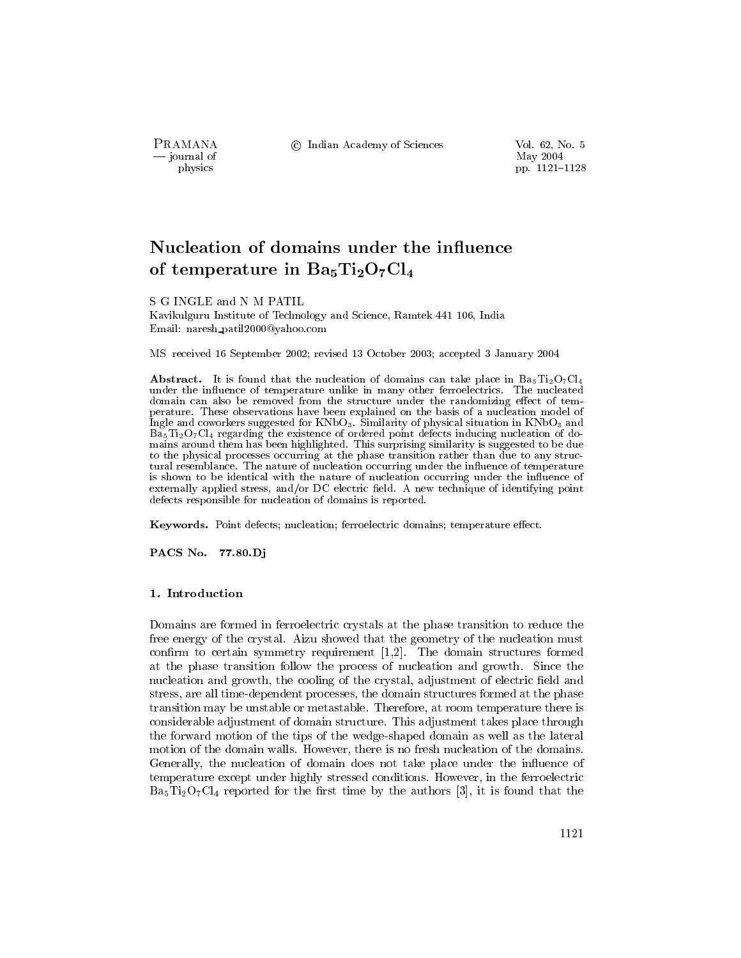PRAMANA — journal of physics

© Indian Academy of Sciences

Vol. 62, No. 5 May 2004 pp. 1121-1128

# Nucleation of domains under the influence of temperature in  $Ba<sub>5</sub>Ti<sub>2</sub>O<sub>7</sub>Cl<sub>4</sub>$

S G INGLE and N M PATIL

Kavikulguru Institute of Technology and Science, Ramtek 441 106, India Email: naresh\_patil2000@yahoo.com

MS received 16 September 2002; revised 13 October 2003; accepted 3 January 2004

**Abstract.** It is found that the nucleation of domains can take place in  $Ba_5Ti_2O_7Cl_4$ under the influence of temperature unlike in many other ferroelectrics. The nucleated domain can also be removed from the structure under the randomizing effect of temperature. These observations have been explained on the basis of a nucleation model of Ingle and coworkers suggested for KNbO<sub>3</sub>. Similarity of physical situation in KNbO<sub>3</sub> and  $Ba<sub>5</sub>Ti<sub>2</sub>O<sub>7</sub>Cl<sub>4</sub>$  regarding the existence of ordered point defects inducing nucleation of domains around them has been highlighted. This surprising similarity is suggested to be due to the physical processes occurring at the phase transition rather than due to any structural resemblance. The nature of nucleation occurring under the influence of temperature is shown to be identical with the nature of nucleation occurring under the influence of externally applied stress, and/or DC electric field. A new technique of identifying point defects responsible for nucleation of domains is reported.

Keywords. Point defects; nucleation; ferroelectric domains; temperature effect.

PACS No. 77.80.Di

# 1. Introduction

Domains are formed in ferroelectric crystals at the phase transition to reduce the free energy of the crystal. Aizu showed that the geometry of the nucleation must confirm to certain symmetry requirement  $[1,2]$ . The domain structures formed at the phase transition follow the process of nucleation and growth. Since the nucleation and growth, the cooling of the crystal, adjustment of electric field and stress, are all time-dependent processes, the domain structures formed at the phase transition may be unstable or metastable. Therefore, at room temperature there is considerable adjustment of domain structure. This adjustment takes place through the forward motion of the tips of the wedge-shaped domain as well as the lateral motion of the domain walls. However, there is no fresh nucleation of the domains. Generally, the nucleation of domain does not take place under the influence of temperature except under highly stressed conditions. However, in the ferroelectric  $Ba<sub>5</sub>Ti<sub>2</sub>O<sub>7</sub>Cl<sub>4</sub>$  reported for the first time by the authors [3], it is found that the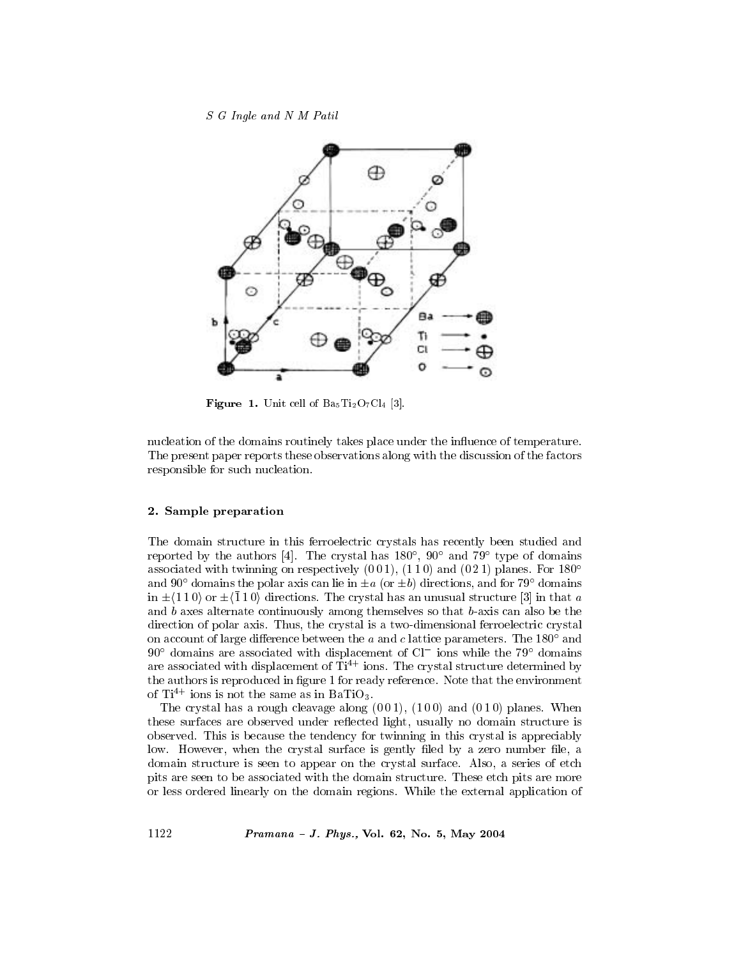

**Figure 1.** Unit cell of  $Ba_5Ti_2O_7Cl_4$  [3].

nucleation of the domains routinely takes place under the influence of temperature. The present paper reports these observations along with the discussion of the factors responsible for such nucleation.

## 2. Sample preparation

1122

The domain structure in this ferroelectric crystals has recently been studied and reported by the authors [4]. The crystal has  $180^{\circ}$ ,  $90^{\circ}$  and  $79^{\circ}$  type of domains associated with twinning on respectively  $(001)$ ,  $(110)$  and  $(021)$  planes. For 180<sup>o</sup> and 90° domains the polar axis can lie in  $\pm a$  (or  $\pm b$ ) directions, and for 79° domains in  $\pm$  (1 1 0) or  $\pm$  (1 1 0) directions. The crystal has an unusual structure [3] in that a and  $b$  axes alternate continuously among themselves so that  $b$ -axis can also be the direction of polar axis. Thus, the crystal is a two-dimensional ferroelectric crystal on account of large difference between the  $a$  and  $c$  lattice parameters. The 180 $^{\circ}$  and  $90^{\circ}$  domains are associated with displacement of Cl<sup>-</sup> ions while the 79° domains are associated with displacement of  $\hat{\mathrm{T}}i^{4+}$  ions. The crystal structure determined by the authors is reproduced in figure 1 for ready reference. Note that the environment of  $Ti^{4+}$  ions is not the same as in BaTiO<sub>3</sub>.

The crystal has a rough cleavage along  $(001)$ ,  $(100)$  and  $(010)$  planes. When these surfaces are observed under reflected light, usually no domain structure is observed. This is because the tendency for twinning in this crystal is appreciably low. However, when the crystal surface is gently filed by a zero number file, a domain structure is seen to appear on the crystal surface. Also, a series of etch pits are seen to be associated with the domain structure. These etch pits are more or less ordered linearly on the domain regions. While the external application of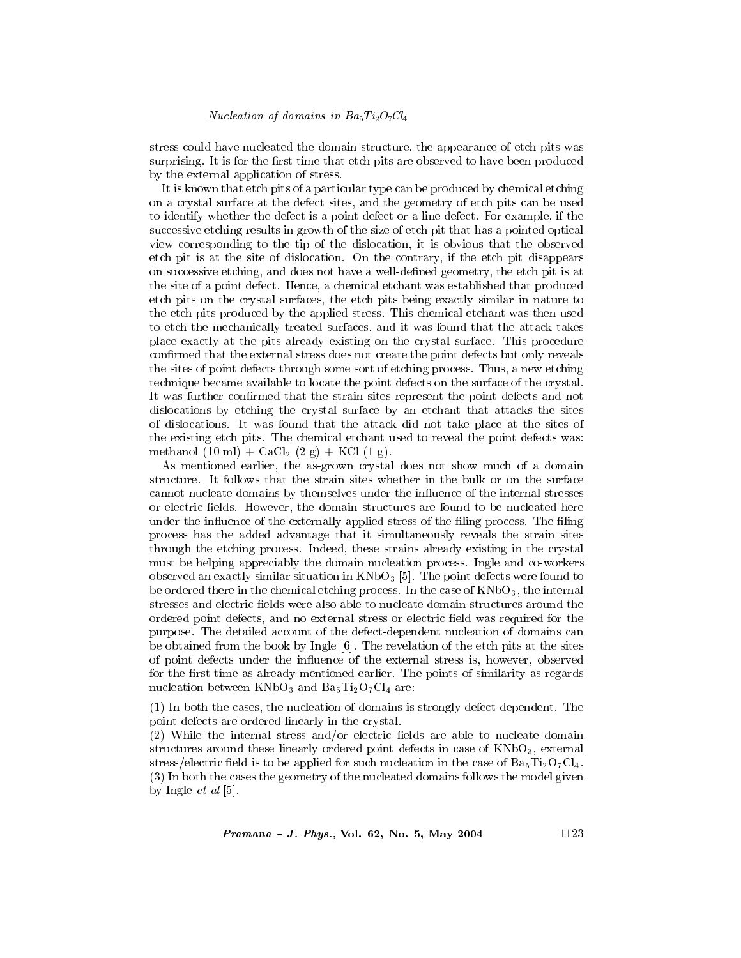stress could have nucleated the domain structure, the appearance of etch pits was surprising. It is for the first time that etch pits are observed to have been produced by the external application of stress.

It is known that etch pits of a particular type can be produced by chemical etching on a crystal surface at the defect sites, and the geometry of etch pits can be used to identify whether the defect is a point defect or a line defect. For example, if the successive etching results in growth of the size of etch pit that has a pointed optical view corresponding to the tip of the dislocation, it is obvious that the observed etch pit is at the site of dislocation. On the contrary, if the etch pit disappears on successive etching, and does not have a well-defined geometry, the etch pit is at the site of a point defect. Hence, a chemical etchant was established that produced etch pits on the crystal surfaces, the etch pits being exactly similar in nature to the etch pits produced by the applied stress. This chemical etchant was then used to etch the mechanically treated surfaces, and it was found that the attack takes place exactly at the pits already existing on the crystal surface. This procedure confirmed that the external stress does not create the point defects but only reveals the sites of point defects through some sort of etching process. Thus, a new etching technique became available to locate the point defects on the surface of the crystal. It was further confirmed that the strain sites represent the point defects and not dislocations by etching the crystal surface by an etchant that attacks the sites of dislocations. It was found that the attack did not take place at the sites of the existing etch pits. The chemical etchant used to reveal the point defects was: methanol (10 ml) +  $CaCl_2(2 g) + KCl(1 g)$ .

As mentioned earlier, the as-grown crystal does not show much of a domain structure. It follows that the strain sites whether in the bulk or on the surface cannot nucleate domains by themselves under the influence of the internal stresses or electric fields. However, the domain structures are found to be nucleated here under the influence of the externally applied stress of the filing process. The filing process has the added advantage that it simultaneously reveals the strain sites through the etching process. Indeed, these strains already existing in the crystal must be helping appreciably the domain nucleation process. Ingle and co-workers observed an exactly similar situation in  $KNbO_3$  [5]. The point defects were found to be ordered there in the chemical etching process. In the case of  $KNbO<sub>3</sub>$ , the internal stresses and electric fields were also able to nucleate domain structures around the ordered point defects, and no external stress or electric field was required for the purpose. The detailed account of the defect-dependent nucleation of domains can be obtained from the book by Ingle [6]. The revelation of the etch pits at the sites of point defects under the influence of the external stress is, however, observed for the first time as already mentioned earlier. The points of similarity as regards nucleation between  $KNbO_3$  and  $Ba_5Ti_2O_7Cl_4$  are:

(1) In both the cases, the nucleation of domains is strongly defect-dependent. The point defects are ordered linearly in the crystal.

(2) While the internal stress and/or electric fields are able to nucleate domain structures around these linearly ordered point defects in case of  $KNbO_3$ , external stress/electric field is to be applied for such nucleation in the case of  $Ba<sub>5</sub>T<sub>12</sub>O<sub>7</sub>Cl<sub>4</sub>$ . (3) In both the cases the geometry of the nucleated domains follows the model given by Ingle  $et$  al [5].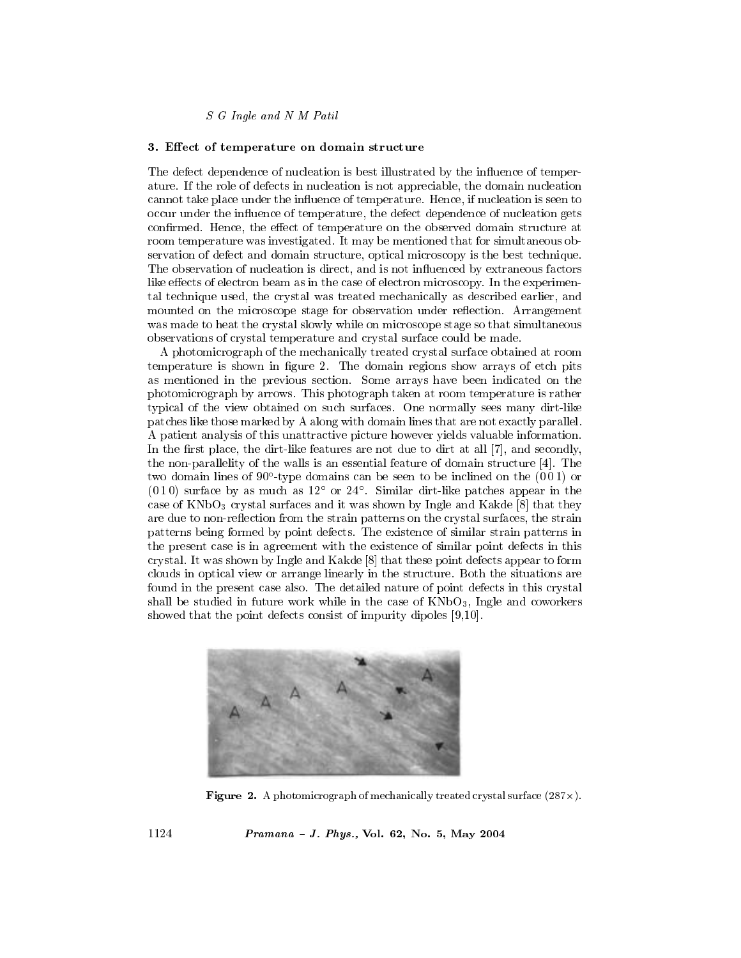# 3. Effect of temperature on domain structure

The defect dependence of nucleation is best illustrated by the influence of temperature. If the role of defects in nucleation is not appreciable, the domain nucleation cannot take place under the influence of temperature. Hence, if nucleation is seen to occur under the influence of temperature, the defect dependence of nucleation gets confirmed. Hence, the effect of temperature on the observed domain structure at room temperature was investigated. It may be mentioned that for simultaneous observation of defect and domain structure, optical microscopy is the best technique. The observation of nucleation is direct, and is not influenced by extraneous factors like effects of electron beam as in the case of electron microscopy. In the experimental technique used, the crystal was treated mechanically as described earlier, and mounted on the microscope stage for observation under reflection. Arrangement was made to heat the crystal slowly while on microscope stage so that simultaneous observations of crystal temperature and crystal surface could be made.

A photomicrograph of the mechanically treated crystal surface obtained at room temperature is shown in figure 2. The domain regions show arrays of etch pits as mentioned in the previous section. Some arrays have been indicated on the photomicrograph by arrows. This photograph taken at room temperature is rather typical of the view obtained on such surfaces. One normally sees many dirt-like patches like those marked by A along with domain lines that are not exactly parallel. A patient analysis of this unattractive picture however yields valuable information. In the first place, the dirt-like features are not due to dirt at all [7], and secondly, the non-parallelity of the walls is an essential feature of domain structure  $[4]$ . The two domain lines of  $90^{\circ}$ -type domains can be seen to be inclined on the  $(001)$  or  $(010)$  surface by as much as  $12^{\circ}$  or  $24^{\circ}$ . Similar dirt-like patches appear in the case of  $KNbO_3$  crystal surfaces and it was shown by Ingle and Kakde [8] that they are due to non-reflection from the strain patterns on the crystal surfaces, the strain patterns being formed by point defects. The existence of similar strain patterns in the present case is in agreement with the existence of similar point defects in this crystal. It was shown by Ingle and Kakde [8] that these point defects appear to form clouds in optical view or arrange linearly in the structure. Both the situations are found in the present case also. The detailed nature of point defects in this crystal shall be studied in future work while in the case of  $KNbO_3$ , Ingle and coworkers showed that the point defects consist of impurity dipoles  $[9,10]$ .



**Figure 2.** A photomicrograph of mechanically treated crystal surface  $(287 \times)$ .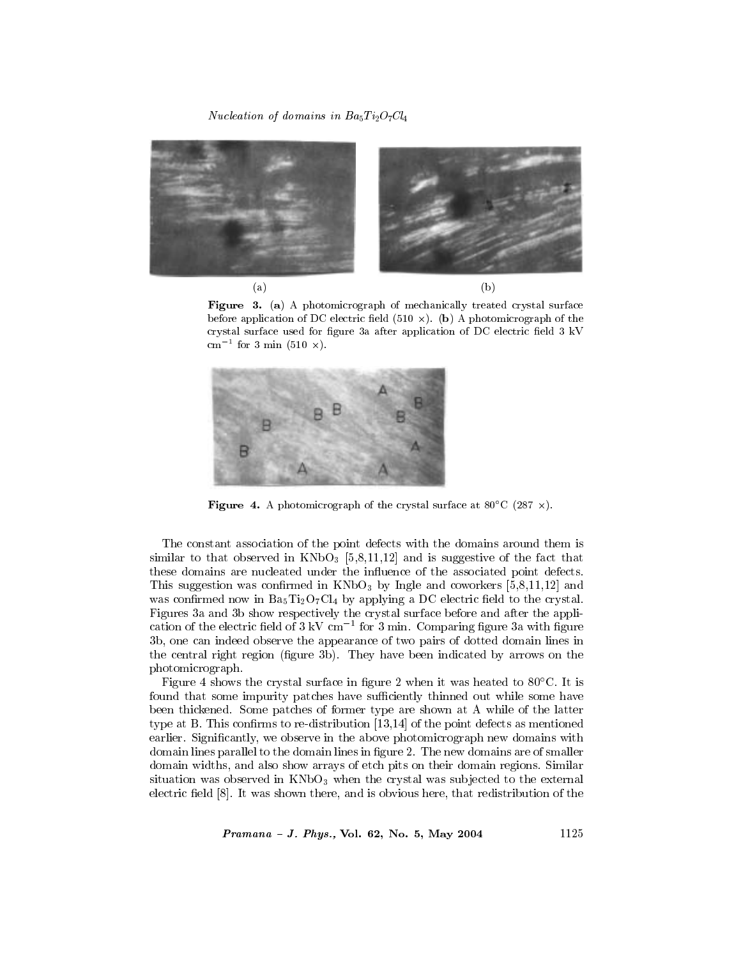# *Nucleation of domains in Ba*<sub>5</sub> $Ti<sub>2</sub>O<sub>7</sub>Cl<sub>4</sub>$



Figure 3. (a) A photomicrograph of mechanically treated crystal surface before application of DC electric field  $(510 \times)$ . (b) A photomicrograph of the crystal surface used for figure 3a after application of DC electric field 3 kV  $\text{cm}^{-1}$  for 3 min (510  $\times$ ).



Figure 4. A photomicrograph of the crystal surface at 80°C (287  $\times$ ).

The constant association of the point defects with the domains around them is similar to that observed in  $KNbO_3$  [5,8,11,12] and is suggestive of the fact that these domains are nucleated under the influence of the associated point defects. This suggestion was confirmed in  $KNbO_3$  by Ingle and coworkers [5,8,11,12] and was confirmed now in  $Ba_5Ti_2O_7Cl_4$  by applying a DC electric field to the crystal. Figures 3a and 3b show respectively the crystal surface before and after the application of the electric field of  $3 \text{ kV cm}^{-1}$  for  $3 \text{ min.}$  Comparing figure  $3a$  with figure 3b, one can indeed observe the appearance of two pairs of dotted domain lines in the central right region (figure 3b). They have been indicated by arrows on the photomicrograph.

Figure 4 shows the crystal surface in figure 2 when it was heated to  $80^{\circ}$ C. It is found that some impurity patches have sufficiently thinned out while some have been thickened. Some patches of former type are shown at A while of the latter type at B. This confirms to re-distribution  $[13,14]$  of the point defects as mentioned earlier. Significantly, we observe in the above photomicrograph new domains with domain lines parallel to the domain lines in figure 2. The new domains are of smaller domain widths, and also show arrays of etch pits on their domain regions. Similar situation was observed in KNbO<sub>3</sub> when the crystal was subjected to the external electric field [8]. It was shown there, and is obvious here, that redistribution of the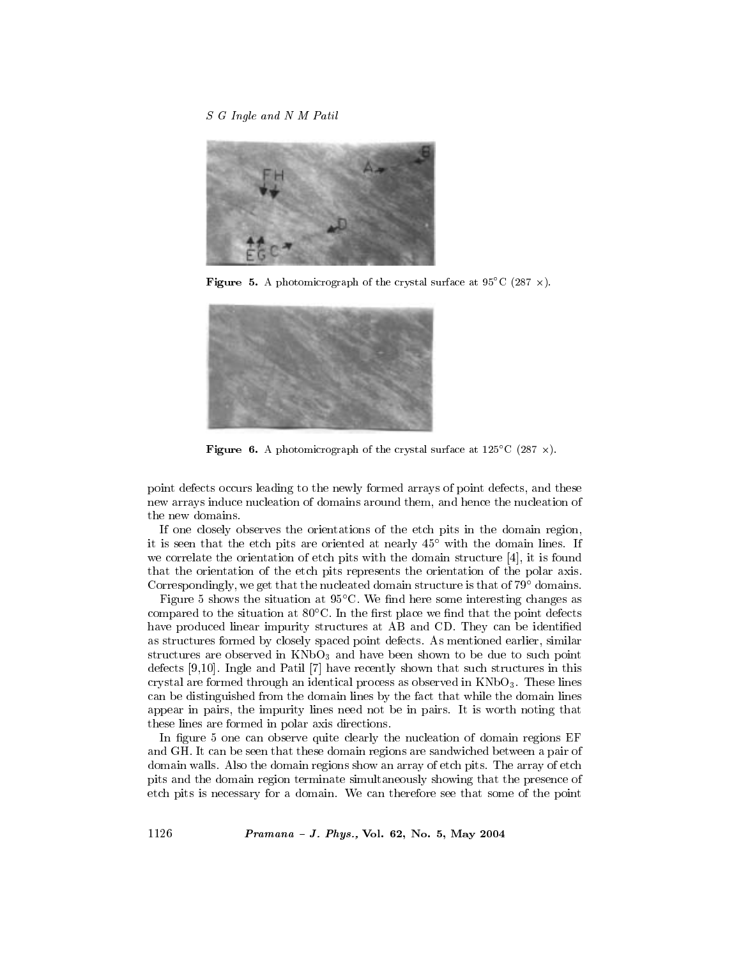

**Figure 5.** A photomicrograph of the crystal surface at  $95^{\circ}$ C (287 x).



**Figure 6.** A photomicrograph of the crystal surface at  $125^{\circ}$ C (287 x).

point defects occurs leading to the newly formed arrays of point defects, and these new arrays induce nucleation of domains around them, and hence the nucleation of the new domains.

If one closely observes the orientations of the etch pits in the domain region, it is seen that the etch pits are oriented at nearly  $45^{\circ}$  with the domain lines. If we correlate the orientation of etch pits with the domain structure  $[4]$ , it is found that the orientation of the etch pits represents the orientation of the polar axis. Correspondingly, we get that the nucleated domain structure is that of 79° domains.

Figure 5 shows the situation at  $95^{\circ}$ C. We find here some interesting changes as compared to the situation at  $80^{\circ}$ C. In the first place we find that the point defects have produced linear impurity structures at AB and CD. They can be identified as structures formed by closely spaced point defects. As mentioned earlier, similar structures are observed in  $KNbO_3$  and have been shown to be due to such point defects  $[9,10]$ . Ingle and Patil  $[7]$  have recently shown that such structures in this crystal are formed through an identical process as observed in  $KNbO_3$ . These lines can be distinguished from the domain lines by the fact that while the domain lines appear in pairs, the impurity lines need not be in pairs. It is worth noting that these lines are formed in polar axis directions.

In figure 5 one can observe quite clearly the nucleation of domain regions EF and GH. It can be seen that these domain regions are sandwiched between a pair of domain walls. Also the domain regions show an array of etch pits. The array of etch pits and the domain region terminate simultaneously showing that the presence of etch pits is necessary for a domain. We can therefore see that some of the point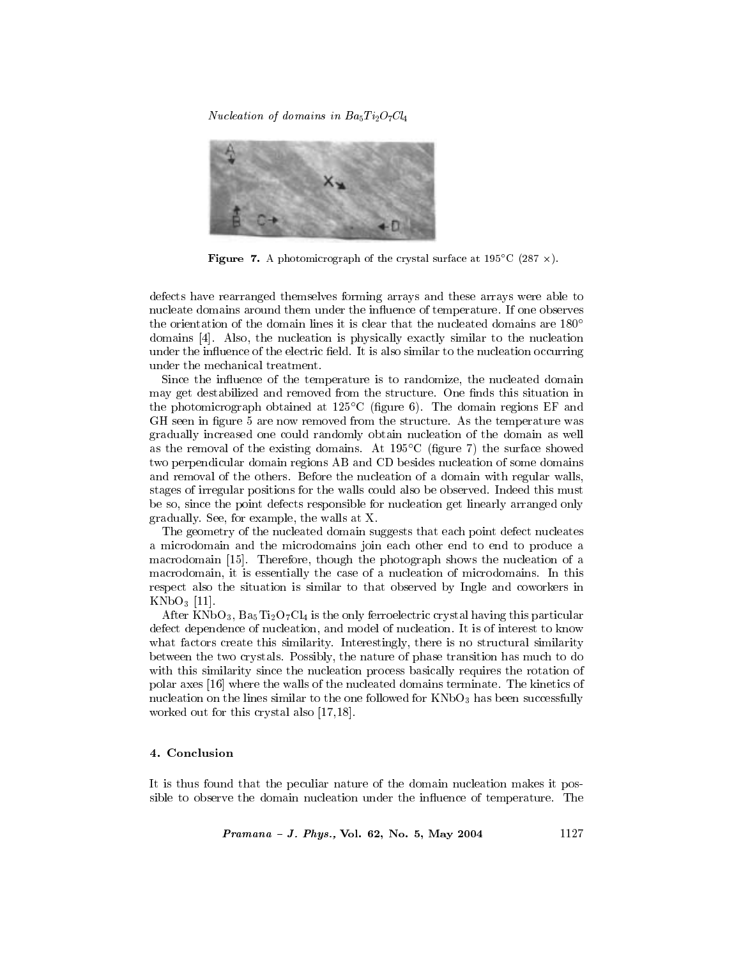Nucleation of domains in  $Ba_5Ti_2O_7Cl_4$ 



**Figure 7.** A photomicrograph of the crystal surface at 195 $^{\circ}$ C (287  $\times$ ).

defects have rearranged themselves forming arrays and these arrays were able to nucleate domains around them under the influence of temperature. If one observes the orientation of the domain lines it is clear that the nucleated domains are 180<sup>°</sup> domains [4]. Also, the nucleation is physically exactly similar to the nucleation under the influence of the electric field. It is also similar to the nucleation occurring under the mechanical treatment.

Since the influence of the temperature is to randomize, the nucleated domain may get destabilized and removed from the structure. One finds this situation in the photomicrograph obtained at  $125^{\circ}$ C (figure 6). The domain regions EF and GH seen in figure 5 are now removed from the structure. As the temperature was gradually increased one could randomly obtain nucleation of the domain as well as the removal of the existing domains. At  $195^{\circ}$ C (figure 7) the surface showed two perpendicular domain regions AB and CD besides nucleation of some domains and removal of the others. Before the nucleation of a domain with regular walls, stages of irregular positions for the walls could also be observed. Indeed this must be so, since the point defects responsible for nucleation get linearly arranged only gradually. See, for example, the walls at X.

The geometry of the nucleated domain suggests that each point defect nucleates a microdomain and the microdomains join each other end to end to produce a macrodomain [15]. Therefore, though the photograph shows the nucleation of a macrodomain, it is essentially the case of a nucleation of microdomains. In this respect also the situation is similar to that observed by Ingle and coworkers in  $KNbO_3$  [11].

After KNbO<sub>3</sub>,  $Ba<sub>5</sub>Ti<sub>2</sub>O<sub>7</sub>Cl<sub>4</sub>$  is the only ferroelectric crystal having this particular defect dependence of nucleation, and model of nucleation. It is of interest to know what factors create this similarity. Interestingly, there is no structural similarity between the two crystals. Possibly, the nature of phase transition has much to do with this similarity since the nucleation process basically requires the rotation of polar axes [16] where the walls of the nucleated domains terminate. The kinetics of nucleation on the lines similar to the one followed for  $KNbO<sub>3</sub>$  has been successfully worked out for this crystal also  $[17,18]$ .

#### 4. Conclusion

It is thus found that the peculiar nature of the domain nucleation makes it possible to observe the domain nucleation under the influence of temperature. The